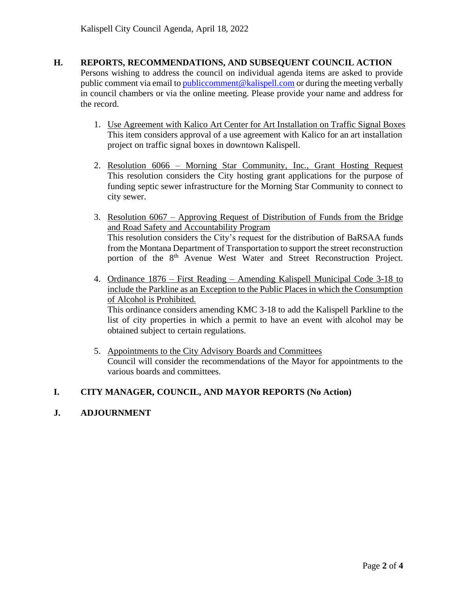## **H. REPORTS, RECOMMENDATIONS, AND SUBSEQUENT COUNCIL ACTION**

Persons wishing to address the council on individual agenda items are asked to provide public comment via email t[o publiccomment@kalispell.com](mailto:publiccomment@kalispell.com) or during the meeting verbally in council chambers or via the online meeting. Please provide your name and address for the record.

- 1. Use Agreement with Kalico Art Center for Art Installation on Traffic Signal Boxes This item considers approval of a use agreement with Kalico for an art installation project on traffic signal boxes in downtown Kalispell.
- 2. Resolution 6066 Morning Star Community, Inc., Grant Hosting Request This resolution considers the City hosting grant applications for the purpose of funding septic sewer infrastructure for the Morning Star Community to connect to city sewer.
- 3. Resolution 6067 Approving Request of Distribution of Funds from the Bridge and Road Safety and Accountability Program This resolution considers the City's request for the distribution of BaRSAA funds from the Montana Department of Transportation to support the street reconstruction portion of the 8<sup>th</sup> Avenue West Water and Street Reconstruction Project.
- 4. Ordinance 1876 First Reading Amending Kalispell Municipal Code 3-18 to include the Parkline as an Exception to the Public Places in which the Consumption of Alcohol is Prohibited.

This ordinance considers amending KMC 3-18 to add the Kalispell Parkline to the list of city properties in which a permit to have an event with alcohol may be obtained subject to certain regulations.

5. Appointments to the City Advisory Boards and Committees Council will consider the recommendations of the Mayor for appointments to the various boards and committees.

# **I. CITY MANAGER, COUNCIL, AND MAYOR REPORTS (No Action)**

## **J. ADJOURNMENT**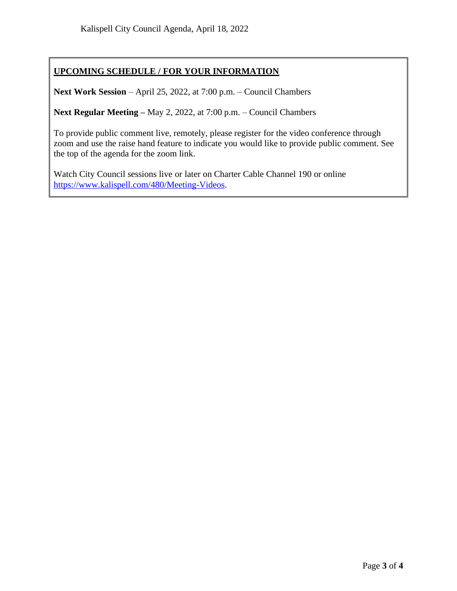# **UPCOMING SCHEDULE / FOR YOUR INFORMATION**

**Next Work Session** – April 25, 2022, at 7:00 p.m. – Council Chambers

**Next Regular Meeting –** May 2, 2022, at 7:00 p.m. – Council Chambers

To provide public comment live, remotely, please register for the video conference through zoom and use the raise hand feature to indicate you would like to provide public comment. See the top of the agenda for the zoom link.

Watch City Council sessions live or later on Charter Cable Channel 190 or online [https://www.kalispell.com/480/Meeting-Videos.](https://www.kalispell.com/480/Meeting-Videos)